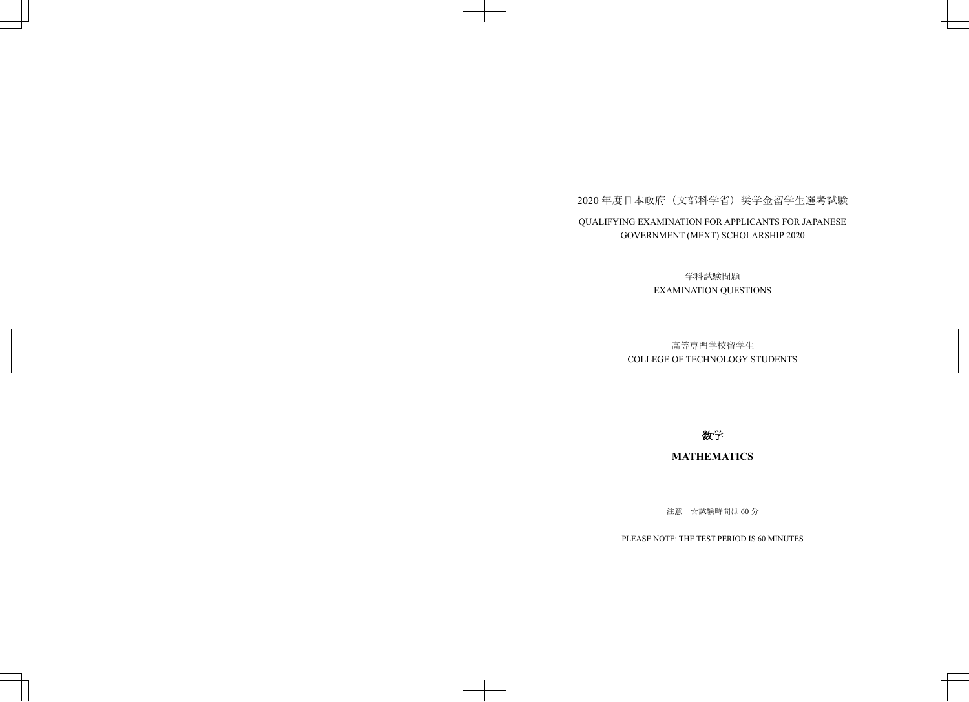## 2020年度日本政府(文部科学省)奨学金留学生選考試験 QUALIFYING EXAMINATION FOR APPLICANTS FOR JAPANESE GOVERNMENT (MEXT) SCHOLARSHIP 2020

学科試験問題 EXAMINATION QUESTIONS

## 高等専門学校留学生 COLLEGE OF TECHNOLOGY STUDENTS

## 数学

## **MATHEMATICS**

注意 ☆試験時間は60分

PLEASE NOTE: THE TEST PERIOD IS 60 MINUTES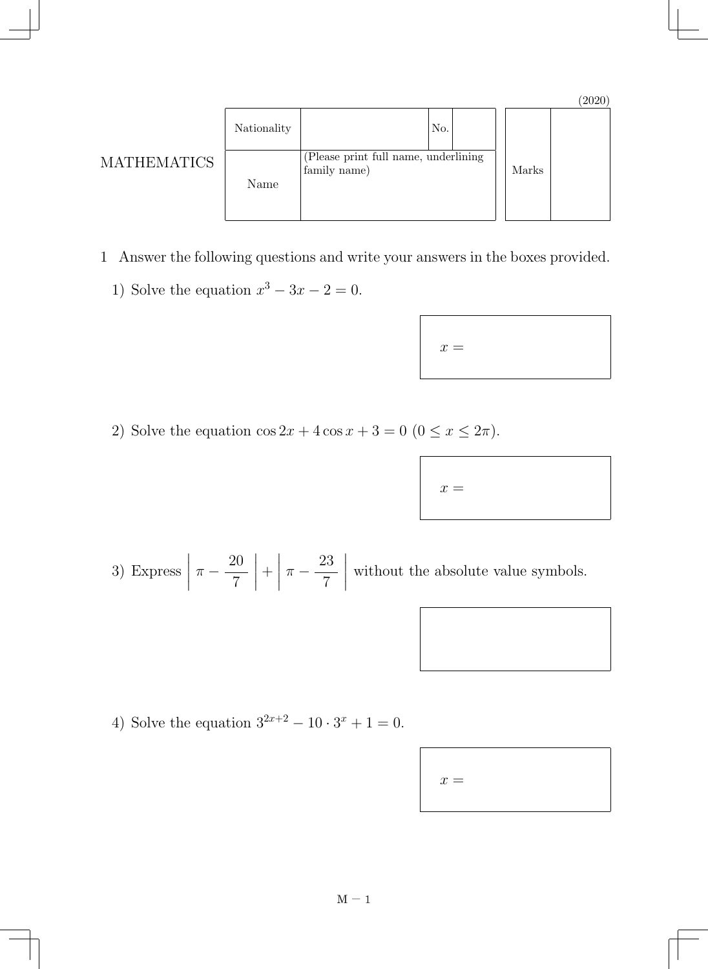| Nationality | No.                                                  |       |  |
|-------------|------------------------------------------------------|-------|--|
| Name        | (Please print full name, underlining<br>family name) | Marks |  |

- 1 Answer the following questions and write your answers in the boxes provided.
	- 1) Solve the equation  $x^3 3x 2 = 0$ .

MATHEMATICS

| $x =$ |  |  |
|-------|--|--|
|       |  |  |

2) Solve the equation  $\cos 2x + 4 \cos x + 3 = 0$  ( $0 \le x \le 2\pi$ ).

| $x =$ |  |  |
|-------|--|--|
|       |  |  |

3) Express  $\overline{\phantom{a}}$  $\overline{\phantom{a}}$  $\overline{\phantom{a}}$  $\overline{\phantom{a}}$  $\pi - \frac{20}{7}$  $\overline{\phantom{a}}$  $\overline{\phantom{a}}$  $\overline{\phantom{a}}$  $\vert$  $+$  $\overline{\phantom{a}}$  $\overline{\phantom{a}}$  $\overline{\phantom{a}}$  $\vert$  $\pi - \frac{23}{7}$  $\overline{\phantom{a}}$  $\overline{\phantom{a}}$  $\overline{\phantom{a}}$  $\overline{\phantom{a}}$ without the absolute value symbols.

4) Solve the equation  $3^{2x+2} - 10 \cdot 3^x + 1 = 0$ .

 $x =$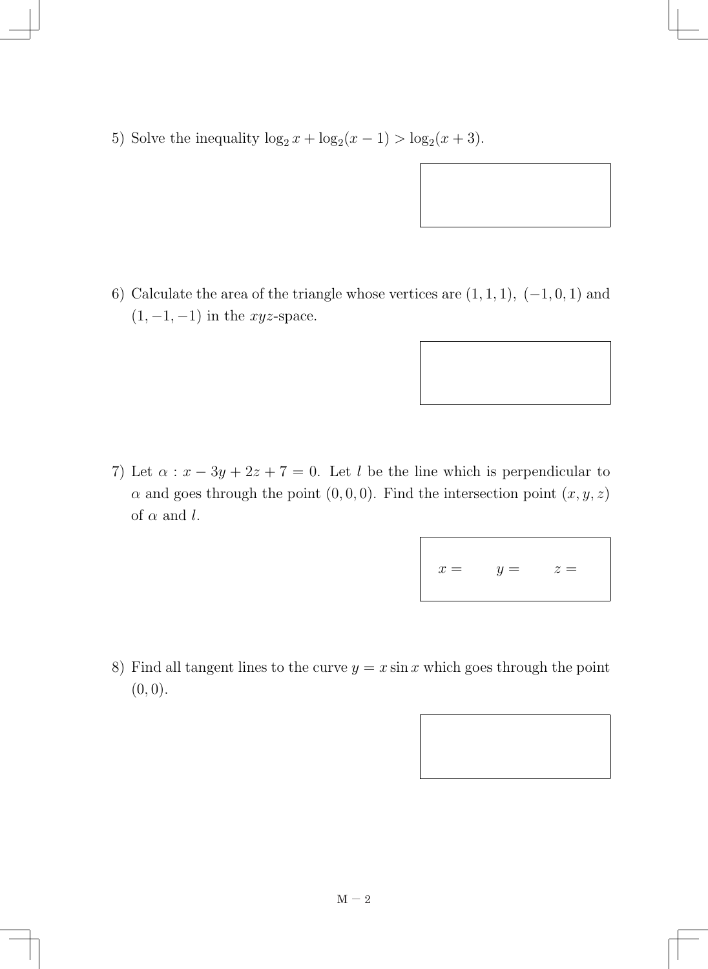5) Solve the inequality  $\log_2 x + \log_2(x - 1) > \log_2(x + 3)$ .

6) Calculate the area of the triangle whose vertices are  $(1, 1, 1)$ ,  $(-1, 0, 1)$  and  $(1, -1, -1)$  in the *xyz*-space.

7) Let  $\alpha$  :  $x - 3y + 2z + 7 = 0$ . Let *l* be the line which is perpendicular to *α* and goes through the point  $(0,0,0)$ . Find the intersection point  $(x, y, z)$ of  $\alpha$  and  $l$ .

$$
x = y = z =
$$

8) Find all tangent lines to the curve  $y = x \sin x$  which goes through the point  $(0, 0).$ 

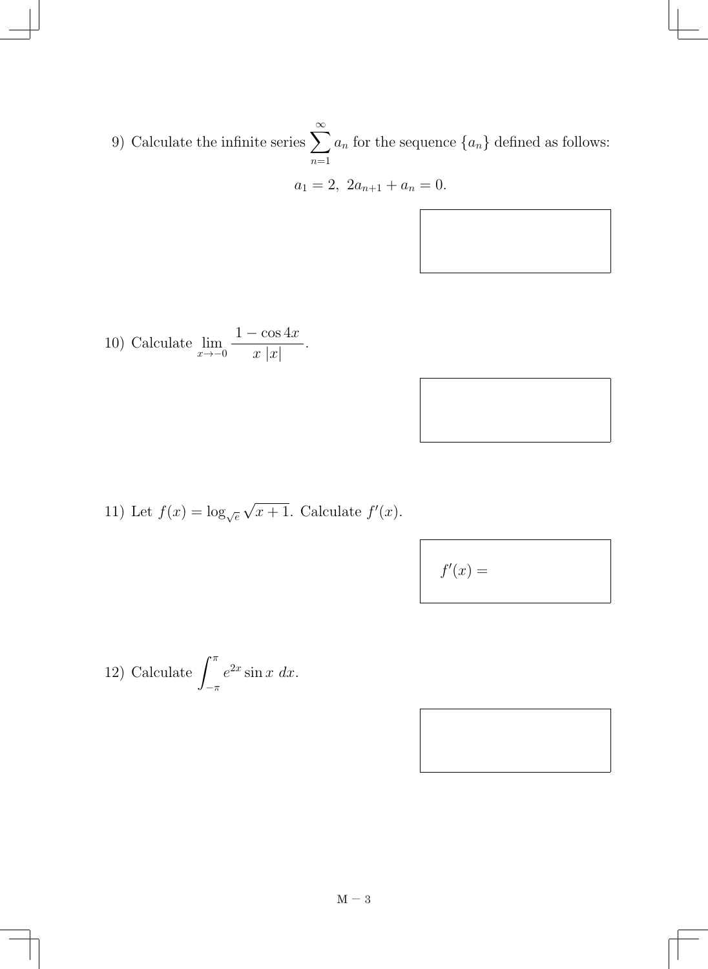9) Calculate the infinite series  $\sum_{n=1}^{\infty}$ *n*=1  $a_n$  for the sequence  $\{a_n\}$  defined as follows:

$$
a_1 = 2, \ 2a_{n+1} + a_n = 0.
$$

10) Calculate 
$$
\lim_{x \to -0} \frac{1 - \cos 4x}{x |x|}.
$$

11) Let 
$$
f(x) = \log_{\sqrt{e}} \sqrt{x+1}
$$
. Calculate  $f'(x)$ .

$$
f'(x) =
$$

12) Calculate 
$$
\int_{-\pi}^{\pi} e^{2x} \sin x \, dx.
$$

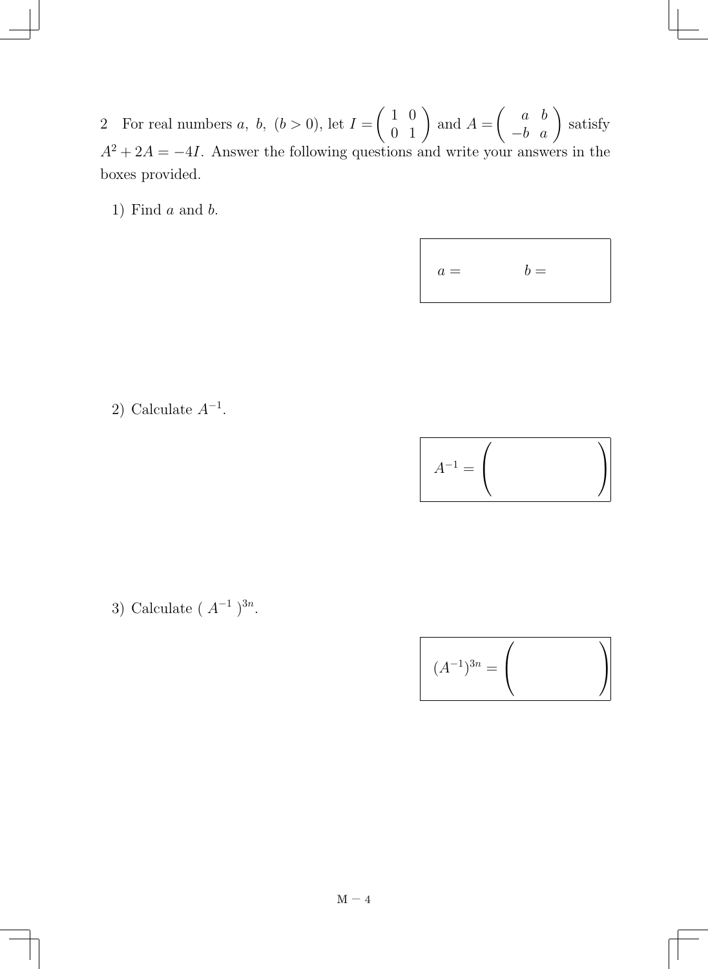2 For real numbers *a, b,* (*b >* 0), let *I* =  $\left(\begin{array}{cc} 1 & 0 \\ 0 & 1 \end{array}\right)$ and  $A =$  $\left( \begin{array}{cc} a & b \\ -b & a \end{array} \right)$ satisfy *A*<sup>2</sup> + 2*A* = −4*I*. Answer the following questions and write your answers in the boxes provided.

1) Find *a* and *b*.

$$
a = \qquad \qquad b =
$$

2) Calculate *A−*<sup>1</sup>.

| -       |  |
|---------|--|
| ᆖ<br>∕1 |  |

3) Calculate ( *A−*<sup>1</sup> ) 3*n*.

$$
(A^{-1})^{3n} = \left(\begin{array}{c}\n\end{array}\right)
$$